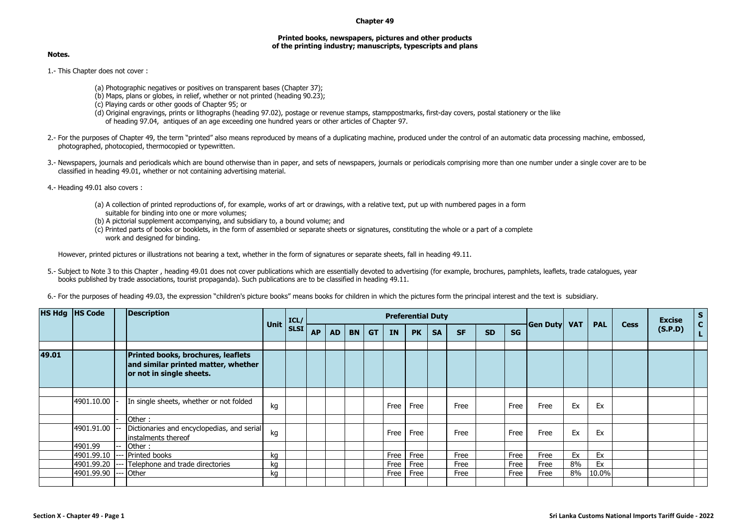## **Chapter 49**

## **Printed books, newspapers, pictures and other products of the printing industry; manuscripts, typescripts and plans**

## **Notes.**

- 1.- This Chapter does not cover :
	- (a) Photographic negatives or positives on transparent bases (Chapter 37);
	- (b) Maps, plans or globes, in relief, whether or not printed (heading 90.23);
	- (c) Playing cards or other goods of Chapter 95; or
	- (d) Original engravings, prints or lithographs (heading 97.02), postage or revenue stamps, stamppostmarks, first-day covers, postal stationery or the like of heading 97.04, antiques of an age exceeding one hundred years or other articles of Chapter 97.
- 2.- For the purposes of Chapter 49, the term "printed" also means reproduced by means of a duplicating machine, produced under the control of an automatic data processing machine, embossed, photographed, photocopied, thermocopied or typewritten.
- 3.- Newspapers, journals and periodicals which are bound otherwise than in paper, and sets of newspapers, journals or periodicals comprising more than one number under a single cover are to be classified in heading 49.01, whether or not containing advertising material.
- 4.- Heading 49.01 also covers :
	- (a) A collection of printed reproductions of, for example, works of art or drawings, with a relative text, put up with numbered pages in a form suitable for binding into one or more volumes;
	- (b) A pictorial supplement accompanying, and subsidiary to, a bound volume; and
	- (c) Printed parts of books or booklets, in the form of assembled or separate sheets or signatures, constituting the whole or a part of a complete work and designed for binding.

However, printed pictures or illustrations not bearing a text, whether in the form of signatures or separate sheets, fall in heading 49.11.

- 5.- Subject to Note 3 to this Chapter , heading 49.01 does not cover publications which are essentially devoted to advertising (for example, brochures, pamphlets, leaflets, trade catalogues, year books published by trade associations, tourist propaganda). Such publications are to be classified in heading 49.11.
- 6.- For the purposes of heading 49.03, the expression "children's picture books" means books for children in which the pictures form the principal interest and the text is subsidiary.

|       | HS Hdg  HS Code | <b>Description</b>                                                                                           | Unit | ICL/<br>SLSI | <b>Preferential Duty</b> |           |           |           |           |           |           |           |           |           |                     |    |            | <b>Cess</b> | <b>Excise</b> | $\mathbf{s}$<br>$\mathbf{c}$ |
|-------|-----------------|--------------------------------------------------------------------------------------------------------------|------|--------------|--------------------------|-----------|-----------|-----------|-----------|-----------|-----------|-----------|-----------|-----------|---------------------|----|------------|-------------|---------------|------------------------------|
|       |                 |                                                                                                              |      |              | <b>AP</b>                | <b>AD</b> | <b>BN</b> | <b>GT</b> | <b>IN</b> | <b>PK</b> | <b>SA</b> | <b>SF</b> | <b>SD</b> | <b>SG</b> | <b>Gen Duty VAT</b> |    | <b>PAL</b> |             | (S.P.D)       |                              |
| 49.01 |                 | <b>Printed books, brochures, leaflets</b><br>and similar printed matter, whether<br>or not in single sheets. |      |              |                          |           |           |           |           |           |           |           |           |           |                     |    |            |             |               |                              |
|       |                 |                                                                                                              |      |              |                          |           |           |           |           |           |           |           |           |           |                     |    |            |             |               |                              |
|       | 4901.10.00      | In single sheets, whether or not folded                                                                      | kg   |              |                          |           |           |           | Free      | Free      |           | Free      |           | Free      | Free                | Ex | Ex         |             |               |                              |
|       |                 | Other:                                                                                                       |      |              |                          |           |           |           |           |           |           |           |           |           |                     |    |            |             |               |                              |
|       | 4901.91.00      | Dictionaries and encyclopedias, and serial<br>instalments thereof                                            | kg   |              |                          |           |           |           | Free      | Free      |           | Free      |           | Free      | Free                | Ex | Ex         |             |               |                              |
|       | 4901.99         | Other:                                                                                                       |      |              |                          |           |           |           |           |           |           |           |           |           |                     |    |            |             |               |                              |
|       | 4901.99.10      | Printed books                                                                                                | kq   |              |                          |           |           |           | Free      | Free      |           | Free      |           | Free      | Free                | Ex | Ex         |             |               |                              |
|       | 4901.99.20      | --- Telephone and trade directories                                                                          | kg   |              |                          |           |           |           | Free      | Free      |           | Free      |           | Free      | Free                | 8% | Ex         |             |               |                              |
|       | 4901.99.90      | Other                                                                                                        | kq   |              |                          |           |           |           | Free      | Free      |           | Free      |           | Free      | Free                | 8% | 10.0%      |             |               |                              |
|       |                 |                                                                                                              |      |              |                          |           |           |           |           |           |           |           |           |           |                     |    |            |             |               |                              |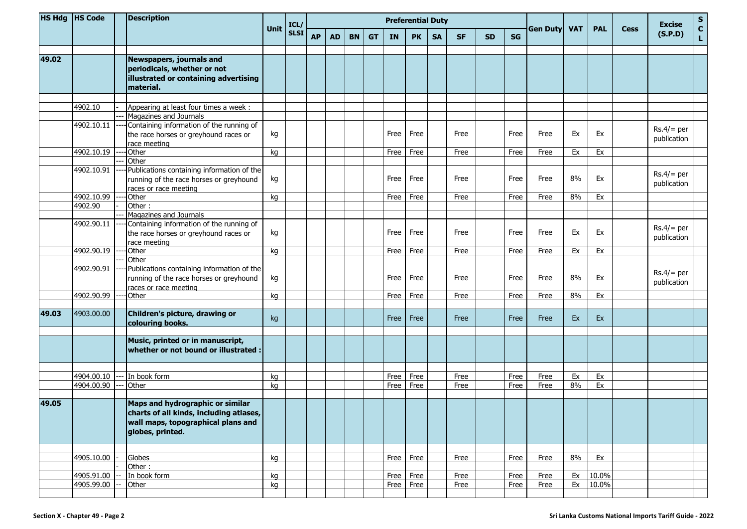|       | HS Hdg  HS Code |  | <b>Description</b>                                                                    |             | ICL/<br><b>SLSI</b> | <b>Preferential Duty</b> |           |           |           |           |           |           |           |           |           |                 |            |            | <b>Excise</b> | ${\sf s}$                   |                             |
|-------|-----------------|--|---------------------------------------------------------------------------------------|-------------|---------------------|--------------------------|-----------|-----------|-----------|-----------|-----------|-----------|-----------|-----------|-----------|-----------------|------------|------------|---------------|-----------------------------|-----------------------------|
|       |                 |  |                                                                                       | <b>Unit</b> |                     | <b>AP</b>                | <b>AD</b> | <b>BN</b> | <b>GT</b> | <b>IN</b> | <b>PK</b> | <b>SA</b> | <b>SF</b> | <b>SD</b> | <b>SG</b> | <b>Gen Duty</b> | <b>VAT</b> | <b>PAL</b> | <b>Cess</b>   | (S.P.D)                     | $\mathbf{C}$<br>$\mathbf L$ |
|       |                 |  |                                                                                       |             |                     |                          |           |           |           |           |           |           |           |           |           |                 |            |            |               |                             |                             |
| 49.02 |                 |  | Newspapers, journals and<br>periodicals, whether or not                               |             |                     |                          |           |           |           |           |           |           |           |           |           |                 |            |            |               |                             |                             |
|       |                 |  | illustrated or containing advertising<br>material.                                    |             |                     |                          |           |           |           |           |           |           |           |           |           |                 |            |            |               |                             |                             |
|       |                 |  |                                                                                       |             |                     |                          |           |           |           |           |           |           |           |           |           |                 |            |            |               |                             |                             |
|       | 4902.10         |  | Appearing at least four times a week :                                                |             |                     |                          |           |           |           |           |           |           |           |           |           |                 |            |            |               |                             |                             |
|       |                 |  | Magazines and Journals                                                                |             |                     |                          |           |           |           |           |           |           |           |           |           |                 |            |            |               |                             |                             |
|       | 4902.10.11      |  | Containing information of the running of                                              |             |                     |                          |           |           |           |           |           |           |           |           |           |                 |            |            |               |                             |                             |
|       |                 |  | the race horses or greyhound races or<br>race meeting                                 | kg          |                     |                          |           |           |           | Free      | Free      |           | Free      |           | Free      | Free            | Ex         | Ex         |               | $Rs.4/=$ per<br>publication |                             |
|       | 4902.10.19      |  | <b>Other</b>                                                                          | kg          |                     |                          |           |           |           | Free      | Free      |           | Free      |           | Free      | Free            | Ex         | Ex         |               |                             |                             |
|       |                 |  | Other                                                                                 |             |                     |                          |           |           |           |           |           |           |           |           |           |                 |            |            |               |                             |                             |
|       | 4902.10.91      |  | Publications containing information of the                                            |             |                     |                          |           |           |           |           |           |           |           |           |           |                 |            |            |               |                             |                             |
|       |                 |  | running of the race horses or greyhound<br>races or race meeting                      | kg          |                     |                          |           |           |           | Free      | Free      |           | Free      |           | Free      | Free            | 8%         | Ex         |               | $Rs.4/=$ per<br>publication |                             |
|       | 4902.10.99      |  | <b>Other</b>                                                                          | kg          |                     |                          |           |           |           | Free      | Free      |           | Free      |           | Free      | Free            | 8%         | Ex         |               |                             |                             |
|       | 4902.90         |  | Other:                                                                                |             |                     |                          |           |           |           |           |           |           |           |           |           |                 |            |            |               |                             |                             |
|       |                 |  | Magazines and Journals                                                                |             |                     |                          |           |           |           |           |           |           |           |           |           |                 |            |            |               |                             |                             |
|       | 4902.90.11      |  | Containing information of the running of<br>the race horses or greyhound races or     | kg          |                     |                          |           |           |           | Free      | Free      |           | Free      |           | Free      | Free            | Ex         | Ex         |               | $Rs.4/=$ per                |                             |
|       |                 |  | race meeting                                                                          |             |                     |                          |           |           |           |           |           |           |           |           |           |                 |            |            |               | publication                 |                             |
|       | 4902.90.19      |  | <b>Other</b>                                                                          | kg          |                     |                          |           |           |           | Free      | Free      |           | Free      |           | Free      | Free            | Ex         | Ex         |               |                             |                             |
|       |                 |  | Other                                                                                 |             |                     |                          |           |           |           |           |           |           |           |           |           |                 |            |            |               |                             |                             |
|       | 4902.90.91      |  | Publications containing information of the<br>running of the race horses or greyhound | kg          |                     |                          |           |           |           | Free      | Free      |           | Free      |           | Free      | Free            | 8%         | Ex         |               | $Rs.4/=$ per<br>publication |                             |
|       |                 |  | races or race meeting                                                                 |             |                     |                          |           |           |           |           |           |           |           |           |           |                 |            |            |               |                             |                             |
|       | 4902.90.99      |  | <b>Other</b>                                                                          | kg          |                     |                          |           |           |           | Free      | Free      |           | Free      |           | Free      | Free            | 8%         | Ex         |               |                             |                             |
|       |                 |  |                                                                                       |             |                     |                          |           |           |           |           |           |           |           |           |           |                 |            |            |               |                             |                             |
| 49.03 | 4903.00.00      |  | Children's picture, drawing or<br>colouring books.                                    | kg          |                     |                          |           |           |           | Free      | Free      |           | Free      |           | Free      | Free            | Ex         | Ex         |               |                             |                             |
|       |                 |  |                                                                                       |             |                     |                          |           |           |           |           |           |           |           |           |           |                 |            |            |               |                             |                             |
|       |                 |  | Music, printed or in manuscript,<br>$\vert$ whether or not bound or illustrated :     |             |                     |                          |           |           |           |           |           |           |           |           |           |                 |            |            |               |                             |                             |
|       |                 |  |                                                                                       |             |                     |                          |           |           |           |           |           |           |           |           |           |                 |            |            |               |                             |                             |
|       | 4904.00.10      |  | In book form                                                                          | kg          |                     |                          |           |           |           | Free      | Free      |           | Free      |           | Free      | Free            | Ex         | Ex         |               |                             |                             |
|       | 4904.00.90      |  | Other                                                                                 | kg          |                     |                          |           |           |           | Free      | Free      |           | Free      |           | Free      | Free            | 8%         | Ex         |               |                             |                             |
|       |                 |  |                                                                                       |             |                     |                          |           |           |           |           |           |           |           |           |           |                 |            |            |               |                             |                             |
| 49.05 |                 |  | Maps and hydrographic or similar<br>charts of all kinds, including atlases,           |             |                     |                          |           |           |           |           |           |           |           |           |           |                 |            |            |               |                             |                             |
|       |                 |  | wall maps, topographical plans and<br>globes, printed.                                |             |                     |                          |           |           |           |           |           |           |           |           |           |                 |            |            |               |                             |                             |
|       |                 |  |                                                                                       |             |                     |                          |           |           |           |           |           |           |           |           |           |                 |            |            |               |                             |                             |
|       | 4905.10.00      |  | Globes                                                                                | kg          |                     |                          |           |           |           |           | Free Free |           | Free      |           | Free      | Free            | 8%         | Ex         |               |                             |                             |
|       |                 |  | Other:                                                                                |             |                     |                          |           |           |           |           |           |           |           |           |           |                 |            |            |               |                             |                             |
|       | 4905.91.00      |  | In book form                                                                          | kg          |                     |                          |           |           |           |           | Free Free |           | Free      |           | Free      | Free            | Ex         | 10.0%      |               |                             |                             |
|       | 4905.99.00      |  | Other                                                                                 | kg          |                     |                          |           |           |           |           | Free Free |           | Free      |           | Free      | Free            | Ex         | 10.0%      |               |                             |                             |
|       |                 |  |                                                                                       |             |                     |                          |           |           |           |           |           |           |           |           |           |                 |            |            |               |                             |                             |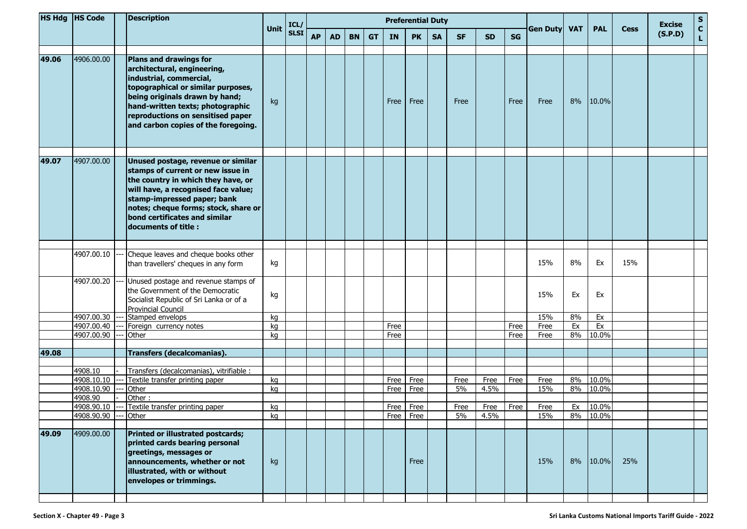|       | HS Hdg  HS Code          |       |                                                                                                                                                                                                                                                                          | <b>Description</b> |             | ICL/      | <b>Preferential Duty</b> |           |           |           |                        |           |            |              |           |             |            |            |             |         | <b>Excise</b>                | ${\sf s}$ |
|-------|--------------------------|-------|--------------------------------------------------------------------------------------------------------------------------------------------------------------------------------------------------------------------------------------------------------------------------|--------------------|-------------|-----------|--------------------------|-----------|-----------|-----------|------------------------|-----------|------------|--------------|-----------|-------------|------------|------------|-------------|---------|------------------------------|-----------|
|       |                          |       |                                                                                                                                                                                                                                                                          | <b>Unit</b>        | <b>SLSI</b> | <b>AP</b> | <b>AD</b>                | <b>BN</b> | <b>GT</b> | <b>IN</b> | <b>PK</b>              | <b>SA</b> | <b>SF</b>  | <b>SD</b>    | <b>SG</b> | Gen Duty    | <b>VAT</b> | <b>PAL</b> | <b>Cess</b> | (S.P.D) | $\mathbf{C}$<br>$\mathbf{L}$ |           |
|       |                          |       |                                                                                                                                                                                                                                                                          |                    |             |           |                          |           |           |           |                        |           |            |              |           |             |            |            |             |         |                              |           |
| 49.06 | 4906.00.00               |       | Plans and drawings for<br>architectural, engineering,<br>industrial, commercial,<br>topographical or similar purposes,<br>being originals drawn by hand;<br>hand-written texts; photographic<br>reproductions on sensitised paper<br>and carbon copies of the foregoing. | kg                 |             |           |                          |           |           | Free      | Free                   |           | Free       |              | Free      | Free        | 8%         | 10.0%      |             |         |                              |           |
| 49.07 | 4907.00.00               |       | Unused postage, revenue or similar<br>stamps of current or new issue in<br>the country in which they have, or                                                                                                                                                            |                    |             |           |                          |           |           |           |                        |           |            |              |           |             |            |            |             |         |                              |           |
|       |                          |       | will have, a recognised face value;<br>stamp-impressed paper; bank<br>notes; cheque forms; stock, share or<br>bond certificates and similar<br>documents of title:                                                                                                       |                    |             |           |                          |           |           |           |                        |           |            |              |           |             |            |            |             |         |                              |           |
|       |                          |       |                                                                                                                                                                                                                                                                          |                    |             |           |                          |           |           |           |                        |           |            |              |           |             |            |            |             |         |                              |           |
|       | 4907.00.10               |       | Cheque leaves and cheque books other<br>than travellers' cheques in any form                                                                                                                                                                                             | kg                 |             |           |                          |           |           |           |                        |           |            |              |           | 15%         | 8%         | Ex         | 15%         |         |                              |           |
|       | 4907.00.20               |       | Unused postage and revenue stamps of<br>the Government of the Democratic<br>Socialist Republic of Sri Lanka or of a<br><b>Provincial Council</b>                                                                                                                         | kg                 |             |           |                          |           |           |           |                        |           |            |              |           | 15%         | Ex         | Ex         |             |         |                              |           |
|       | 4907.00.30               |       | Stamped envelops                                                                                                                                                                                                                                                         | kg                 |             |           |                          |           |           |           |                        |           |            |              |           | 15%         | 8%         | Ex         |             |         |                              |           |
|       | 4907.00.40               |       | Foreign currency notes                                                                                                                                                                                                                                                   | kg                 |             |           |                          |           |           | Free      |                        |           |            |              | Free      | Free        | Ex         | Ex         |             |         |                              |           |
|       | 4907.00.90               |       | Other                                                                                                                                                                                                                                                                    | kg                 |             |           |                          |           |           | Free      |                        |           |            |              | Free      | Free        | 8%         | 10.0%      |             |         |                              |           |
| 49.08 |                          |       | <b>Transfers (decalcomanias).</b>                                                                                                                                                                                                                                        |                    |             |           |                          |           |           |           |                        |           |            |              |           |             |            |            |             |         |                              |           |
|       |                          |       |                                                                                                                                                                                                                                                                          |                    |             |           |                          |           |           |           |                        |           |            |              |           |             |            |            |             |         |                              |           |
|       | 4908.10                  |       | Transfers (decalcomanias), vitrifiable :                                                                                                                                                                                                                                 |                    |             |           |                          |           |           |           |                        |           |            |              |           |             |            |            |             |         |                              |           |
|       | 4908.10.10               |       | Textile transfer printing paper                                                                                                                                                                                                                                          | kg                 |             |           |                          |           |           | Free      | Free                   |           | Free       | Free         | Free      | Free        | 8%         | 10.0%      |             |         |                              |           |
|       | 4908.10.90               |       | Other                                                                                                                                                                                                                                                                    | kg                 |             |           |                          |           |           | Free      | Free                   |           | 5%         | 4.5%         |           | 15%         | 8%         | 10.0%      |             |         |                              |           |
|       | 4908.90                  |       | Other:                                                                                                                                                                                                                                                                   |                    |             |           |                          |           |           |           |                        |           |            |              |           |             |            | 10.0%      |             |         |                              |           |
|       | 4908.90.10<br>4908.90.90 | $---$ | Textile transfer printing paper<br>Other                                                                                                                                                                                                                                 | kg<br>kg           |             |           |                          |           |           |           | Free Free<br>Free Free |           | Free<br>5% | Free<br>4.5% | Free      | Free<br>15% | Ex         | 8% 10.0%   |             |         |                              |           |
|       |                          |       |                                                                                                                                                                                                                                                                          |                    |             |           |                          |           |           |           |                        |           |            |              |           |             |            |            |             |         |                              |           |
| 49.09 | 4909.00.00               |       | <b>Printed or illustrated postcards;</b><br>printed cards bearing personal<br>greetings, messages or<br>announcements, whether or not<br>illustrated, with or without<br>envelopes or trimmings.                                                                         | kg                 |             |           |                          |           |           |           | Free                   |           |            |              |           | 15%         | 8%         | 10.0%      | 25%         |         |                              |           |
|       |                          |       |                                                                                                                                                                                                                                                                          |                    |             |           |                          |           |           |           |                        |           |            |              |           |             |            |            |             |         |                              |           |